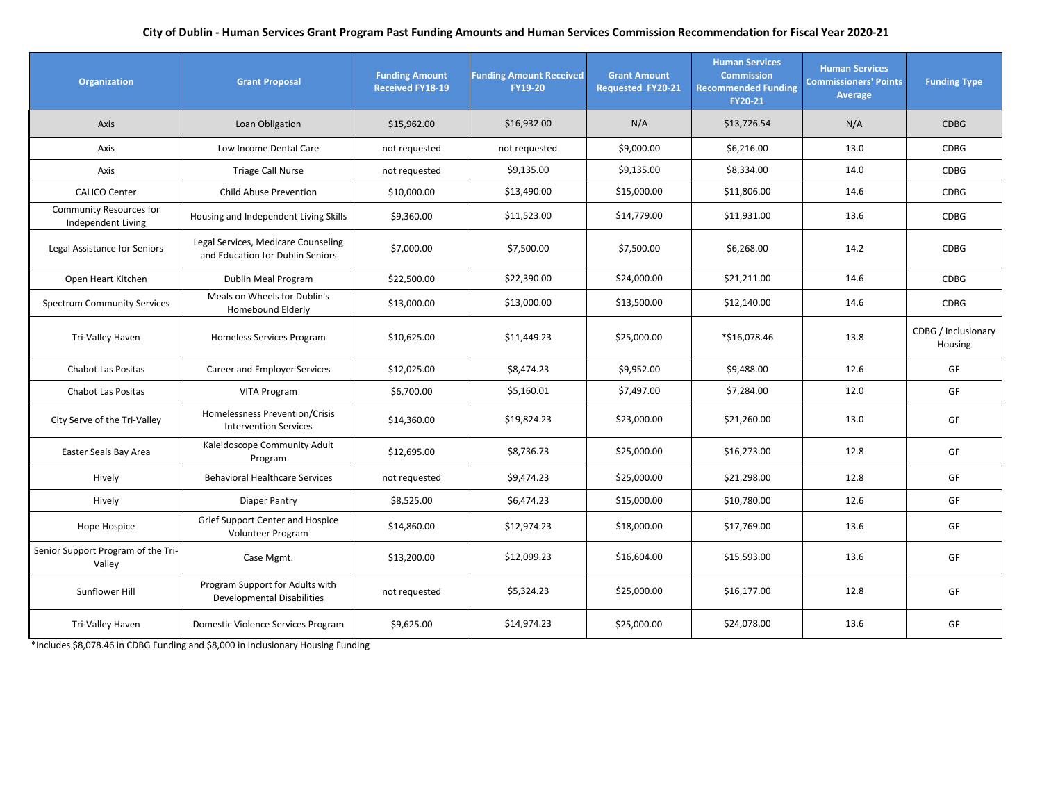## **City of Dublin - Human Services Grant Program Past Funding Amounts and Human Services Commission Recommendation for Fiscal Year 2020-21**

| <b>Organization</b>                           | <b>Grant Proposal</b>                                                   | <b>Funding Amount</b><br><b>Received FY18-19</b> | <b>Funding Amount Received</b><br><b>FY19-20</b> | <b>Grant Amount</b><br><b>Requested FY20-21</b> | <b>Human Services</b><br><b>Commission</b><br><b>Recommended Funding</b><br><b>FY20-21</b> | <b>Human Services</b><br><b>Commissioners' Points</b><br>Average | <b>Funding Type</b>            |
|-----------------------------------------------|-------------------------------------------------------------------------|--------------------------------------------------|--------------------------------------------------|-------------------------------------------------|--------------------------------------------------------------------------------------------|------------------------------------------------------------------|--------------------------------|
| Axis                                          | Loan Obligation                                                         | \$15,962.00                                      | \$16,932.00                                      | N/A                                             | \$13,726.54                                                                                | N/A                                                              | <b>CDBG</b>                    |
| Axis                                          | Low Income Dental Care                                                  | not requested                                    | not requested                                    | \$9,000.00                                      | \$6,216.00                                                                                 | 13.0                                                             | <b>CDBG</b>                    |
| Axis                                          | <b>Triage Call Nurse</b>                                                | not requested                                    | \$9,135.00                                       | \$9,135.00                                      | \$8,334.00                                                                                 | 14.0                                                             | <b>CDBG</b>                    |
| <b>CALICO Center</b>                          | Child Abuse Prevention                                                  | \$10,000.00                                      | \$13,490.00                                      | \$15,000.00                                     | \$11,806.00                                                                                | 14.6                                                             | <b>CDBG</b>                    |
| Community Resources for<br>Independent Living | Housing and Independent Living Skills                                   | \$9,360.00                                       | \$11,523.00                                      | \$14,779.00                                     | \$11,931.00                                                                                | 13.6                                                             | <b>CDBG</b>                    |
| Legal Assistance for Seniors                  | Legal Services, Medicare Counseling<br>and Education for Dublin Seniors | \$7,000.00                                       | \$7.500.00                                       | \$7,500.00                                      | \$6,268.00                                                                                 | 14.2                                                             | <b>CDBG</b>                    |
| Open Heart Kitchen                            | Dublin Meal Program                                                     | \$22,500.00                                      | \$22,390.00                                      | \$24,000.00                                     | \$21,211.00                                                                                | 14.6                                                             | <b>CDBG</b>                    |
| <b>Spectrum Community Services</b>            | Meals on Wheels for Dublin's<br>Homebound Elderly                       | \$13,000.00                                      | \$13,000.00                                      | \$13,500.00                                     | \$12,140.00                                                                                | 14.6                                                             | <b>CDBG</b>                    |
| Tri-Valley Haven                              | Homeless Services Program                                               | \$10,625.00                                      | \$11,449.23                                      | \$25,000.00                                     | *\$16,078.46                                                                               | 13.8                                                             | CDBG / Inclusionary<br>Housing |
| <b>Chabot Las Positas</b>                     | Career and Employer Services                                            | \$12,025.00                                      | \$8,474.23                                       | \$9,952.00                                      | \$9,488.00                                                                                 | 12.6                                                             | GF                             |
| <b>Chabot Las Positas</b>                     | VITA Program                                                            | \$6,700.00                                       | \$5,160.01                                       | \$7,497.00                                      | \$7,284.00                                                                                 | 12.0                                                             | GF                             |
| City Serve of the Tri-Valley                  | Homelessness Prevention/Crisis<br><b>Intervention Services</b>          | \$14,360.00                                      | \$19,824.23                                      | \$23,000.00                                     | \$21,260.00                                                                                | 13.0                                                             | GF                             |
| Easter Seals Bay Area                         | Kaleidoscope Community Adult<br>Program                                 | \$12,695.00                                      | \$8,736.73                                       | \$25,000.00                                     | \$16,273.00                                                                                | 12.8                                                             | GF                             |
| Hively                                        | <b>Behavioral Healthcare Services</b>                                   | not requested                                    | \$9,474.23                                       | \$25,000.00                                     | \$21,298.00                                                                                | 12.8                                                             | GF                             |
| Hively                                        | Diaper Pantry                                                           | \$8,525.00                                       | \$6,474.23                                       | \$15,000.00                                     | \$10,780.00                                                                                | 12.6                                                             | GF                             |
| Hope Hospice                                  | Grief Support Center and Hospice<br>Volunteer Program                   | \$14,860.00                                      | \$12,974.23                                      | \$18,000.00                                     | \$17,769.00                                                                                | 13.6                                                             | GF                             |
| Senior Support Program of the Tri-<br>Valley  | Case Mgmt.                                                              | \$13,200.00                                      | \$12,099.23                                      | \$16,604.00                                     | \$15,593.00                                                                                | 13.6                                                             | GF                             |
| Sunflower Hill                                | Program Support for Adults with<br>Developmental Disabilities           | not requested                                    | \$5,324.23                                       | \$25,000.00                                     | \$16,177.00                                                                                | 12.8                                                             | GF                             |
| Tri-Valley Haven                              | Domestic Violence Services Program                                      | \$9,625.00                                       | \$14,974.23                                      | \$25,000.00                                     | \$24,078.00                                                                                | 13.6                                                             | GF                             |

\*Includes \$8,078.46 in CDBG Funding and \$8,000 in Inclusionary Housing Funding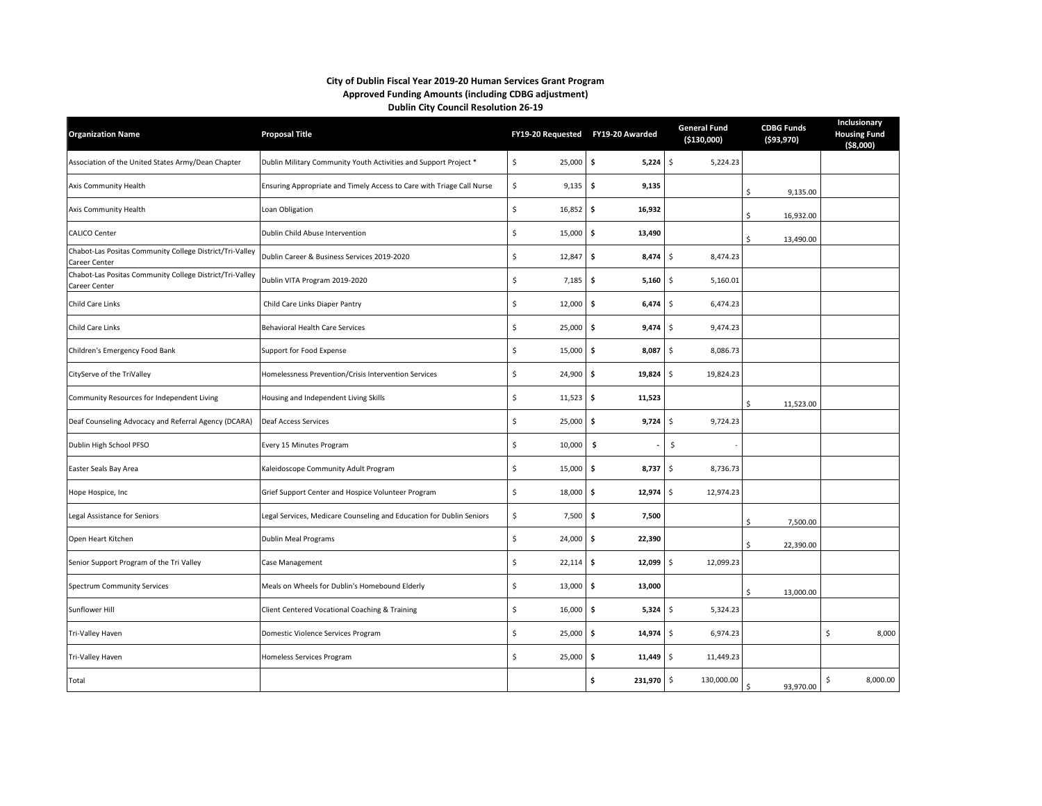## **City of Dublin Fiscal Year 2019-20 Human Services Grant Program Approved Funding Amounts (including CDBG adjustment) Dublin City Council Resolution 26-19**

| <b>Organization Name</b>                                                         | <b>Proposal Title</b>                                                 | FY19-20 Requested FY19-20 Awarded |                   | <b>General Fund</b><br>(5130,000) | <b>CDBG Funds</b><br>(\$93,970) | Inclusionary<br><b>Housing Fund</b><br>(\$8,000) |
|----------------------------------------------------------------------------------|-----------------------------------------------------------------------|-----------------------------------|-------------------|-----------------------------------|---------------------------------|--------------------------------------------------|
| Association of the United States Army/Dean Chapter                               | Dublin Military Community Youth Activities and Support Project *      | $\ddot{\mathsf{S}}$<br>25,000     | \$<br>5,224       | l\$<br>5,224.23                   |                                 |                                                  |
| Axis Community Health                                                            | Ensuring Appropriate and Timely Access to Care with Triage Call Nurse | \$<br>9,135                       | \$.<br>9,135      |                                   | 9,135.00<br>Š.                  |                                                  |
| Axis Community Health                                                            | Loan Obligation                                                       | \$<br>16,852                      | \$.<br>16,932     |                                   | 16,932.00<br>ς.                 |                                                  |
| <b>CALICO Center</b>                                                             | Dublin Child Abuse Intervention                                       | \$<br>15,000                      | \$.<br>13,490     |                                   | $\zeta$<br>13,490.00            |                                                  |
| Chabot-Las Positas Community College District/Tri-Valley<br>Career Center        | Dublin Career & Business Services 2019-2020                           | \$<br>12,847                      | \$.<br>$8,474$ \$ | 8,474.23                          |                                 |                                                  |
| Chabot-Las Positas Community College District/Tri-Valley<br><b>Career Center</b> | Dublin VITA Program 2019-2020                                         | $\mathsf{\hat{S}}$<br>7,185       | -\$<br>$5,160$ \$ | 5,160.01                          |                                 |                                                  |
| Child Care Links                                                                 | Child Care Links Diaper Pantry                                        | $\mathsf{\hat{S}}$<br>12,000      | \$.<br>6,474      | l \$<br>6,474.23                  |                                 |                                                  |
| Child Care Links                                                                 | Behavioral Health Care Services                                       | \$<br>25,000                      | \$.<br>$9,474$ \$ | 9,474.23                          |                                 |                                                  |
| Children's Emergency Food Bank                                                   | Support for Food Expense                                              | Ŝ.<br>15,000                      | \$.<br>8,087      | l \$<br>8,086.73                  |                                 |                                                  |
| CityServe of the TriValley                                                       | Homelessness Prevention/Crisis Intervention Services                  | \$<br>$24,900$ \$                 | 19,824            | l s<br>19,824.23                  |                                 |                                                  |
| Community Resources for Independent Living                                       | Housing and Independent Living Skills                                 | \$<br>11,523                      | \$.<br>11,523     |                                   | 11,523.00<br>\$                 |                                                  |
| Deaf Counseling Advocacy and Referral Agency (DCARA)                             | <b>Deaf Access Services</b>                                           | \$<br>25,000                      | \$<br>9,724       | l \$<br>9,724.23                  |                                 |                                                  |
| Dublin High School PFSO                                                          | Every 15 Minutes Program                                              | \$<br>10,000                      | \$                | \$                                |                                 |                                                  |
| Easter Seals Bay Area                                                            | Kaleidoscope Community Adult Program                                  | 15,000<br>\$                      | \$.<br>8,737      | $\mathsf{S}$<br>8,736.73          |                                 |                                                  |
| Hope Hospice, Inc                                                                | Grief Support Center and Hospice Volunteer Program                    | \$<br>18,000                      | \$<br>12,974      | $\ddot{\varsigma}$<br>12,974.23   |                                 |                                                  |
| Legal Assistance for Seniors                                                     | Legal Services, Medicare Counseling and Education for Dublin Seniors  | \$<br>7,500                       | \$<br>7,500       |                                   | 7,500.00<br>\$.                 |                                                  |
| Open Heart Kitchen                                                               | <b>Dublin Meal Programs</b>                                           | \$<br>24,000                      | \$.<br>22,390     |                                   | \$<br>22,390.00                 |                                                  |
| Senior Support Program of the Tri Valley                                         | Case Management                                                       | $\mathsf{\hat{S}}$<br>22,114      | Ŝ<br>12,099       | - \$<br>12,099.23                 |                                 |                                                  |
| Spectrum Community Services                                                      | Meals on Wheels for Dublin's Homebound Elderly                        | \$<br>13,000                      | -\$<br>13,000     |                                   | 13,000.00<br>\$                 |                                                  |
| Sunflower Hill                                                                   | Client Centered Vocational Coaching & Training                        | \$<br>16,000                      | \$.<br>$5,324$ \$ | 5,324.23                          |                                 |                                                  |
| Tri-Valley Haven                                                                 | Domestic Violence Services Program                                    | $\mathsf{\hat{S}}$<br>$25,000$ \$ | $14,974$ \$       | 6,974.23                          |                                 | \$<br>8,000                                      |
| Tri-Valley Haven                                                                 | Homeless Services Program                                             | \$<br>25,000                      | -\$<br>11,449     | l s<br>11,449.23                  |                                 |                                                  |
| Total                                                                            |                                                                       |                                   | \$<br>231,970 \$  | 130,000.00                        | 93,970.00                       | 8,000.00<br>Ś                                    |